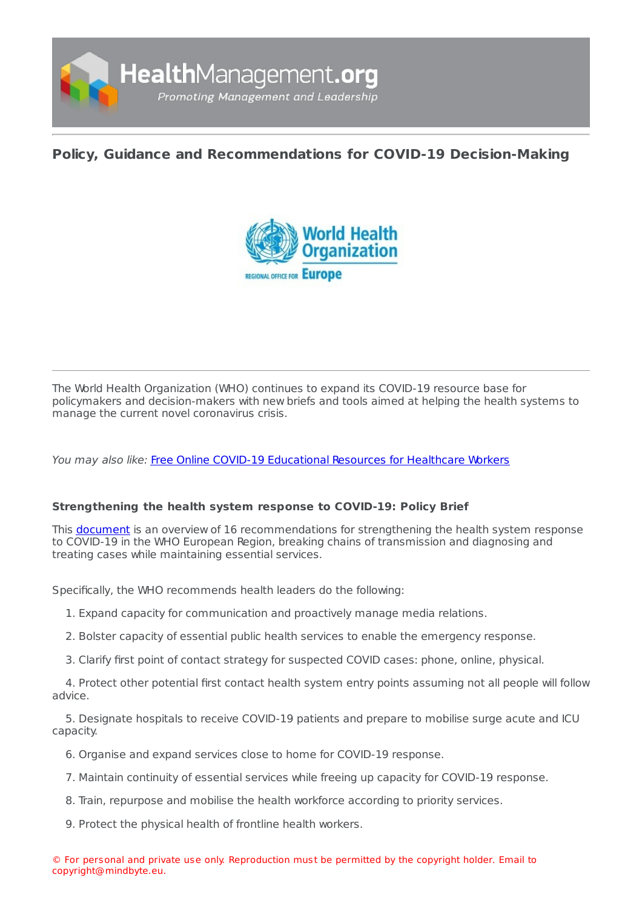

# **Policy, Guidance and [Recommendations](https://healthmanagement.org/s/policy-guidance-and-recommendations-for-covid-19-decision-making) for COVID-19 Decision-Making**



The World Health Organization (WHO) continues to expand its COVID-19 resource base for policymakers and decision-makers with new briefs and tools aimed at helping the health systems to manage the current novel coronavirus crisis.

You may also like: Free Online COVID-19 [Educational](https://healthmanagement.org/c/hospital/news/free-online-covid-19-educational-resources-for-healthcare-workers) Resources for Healthcare Workers

# **Strengthening the health system response to COVID-19: Policy Brief**

This [document](http://www.euro.who.int/en/health-topics/health-emergencies/coronavirus-covid-19/novel-coronavirus-2019-ncov-technical-guidance/coronavirus-disease-covid-19-outbreak-technical-guidance-europe/strengthening-the-health-system-response-to-covid-19-recommendations-for-the-who-european-region-policy-brief-2020) is an overview of 16 recommendations for strengthening the health system response to COVID-19 in the WHO European Region, breaking chains of transmission and diagnosing and treating cases while maintaining essential services.

Specifically, the WHO recommends health leaders do the following:

- 1. Expand capacity for communication and proactively manage media relations.
- 2. Bolster capacity of essential public health services to enable the emergency response.
- 3. Clarify first point of contact strategy for suspected COVID cases: phone, online, physical.

4. Protect other potential first contact health system entry points assuming not all people will follow advice.

5. Designate hospitals to receive COVID-19 patients and prepare to mobilise surge acute and ICU capacity.

- 6. Organise and expand services close to home for COVID-19 response.
- 7. Maintain continuity of essential services while freeing up capacity for COVID-19 response.
- 8. Train, repurpose and mobilise the health workforce according to priority services.
- 9. Protect the physical health of frontline health workers.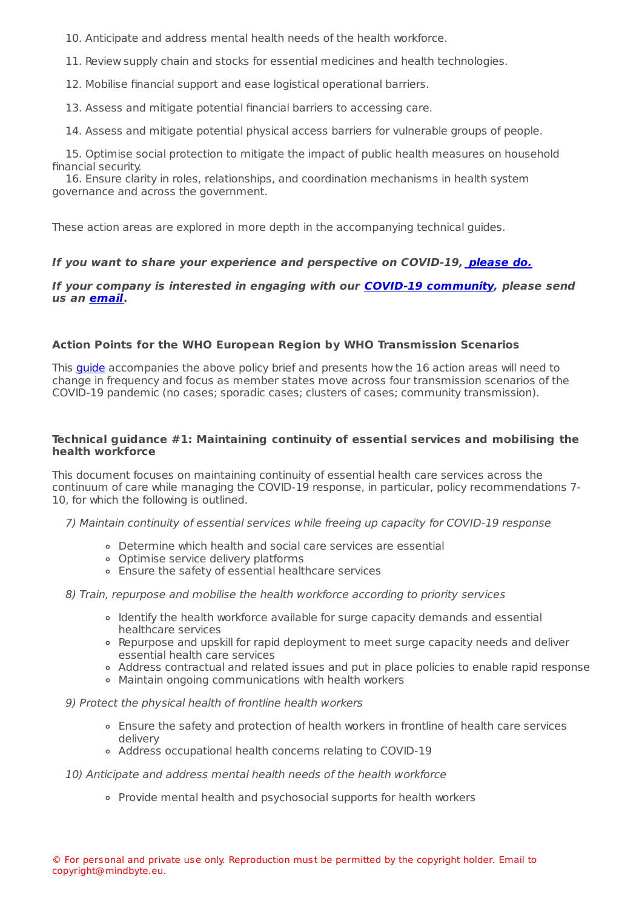10. Anticipate and address mental health needs of the health workforce.

11. Review supply chain and stocks for essential medicines and health technologies.

12. Mobilise financial support and ease logistical operational barriers.

13. Assess and mitigate potential financial barriers to accessing care.

14. Assess and mitigate potential physical access barriers for vulnerable groups of people.

15. Optimise social protection to mitigate the impact of public health measures on household financial security.

16. Ensure clarity in roles, relationships, and coordination mechanisms in health system governance and across the government.

These action areas are explored in more depth in the accompanying technical guides.

## **If you want to share your experience and perspective on COVID-19, [please](https://healthmanagement.org/c/hospital/news/covid-19-we-want-to-hear-from-you) do.**

#### **If your company is interested in engaging with our COVID-19 [community](https://healthmanagement.org/covid-19), please send us an [email](mailto:Bt@healthmanagement.org).**

## **Action Points for the WHO European Region by WHO Transmission Scenarios**

This **[guide](http://www.euro.who.int/en/health-topics/health-emergencies/coronavirus-covid-19/novel-coronavirus-2019-ncov-technical-guidance/coronavirus-disease-covid-19-outbreak-technical-guidance-europe/strengthening-the-health-system-response-to-covid-19-in-the-who-transmission-scenarios-action-points-for-the-who-european-region-2020)** accompanies the above policy brief and presents how the 16 action areas will need to change in frequency and focus as member states move across four transmission scenarios of the COVID-19 pandemic (no cases; sporadic cases; clusters of cases; community transmission).

#### **Technical guidance #1: Maintaining continuity of essential services and mobilising the health workforce**

This document focuses on maintaining continuity of essential health care services across the continuum of care while managing the COVID-19 response, in particular, policy recommendations 7- 10, for which the following is outlined.

7) Maintain continuity of essential services while freeing up capacity for COVID-19 response

- Determine which health and social care services are essential
- Optimise service delivery platforms
- Ensure the safety of essential healthcare services

8) Train, repurpose and mobilise the health workforce according to priority services

- Identify the health workforce available for surge capacity demands and essential healthcare services
- Repurpose and upskill for rapid deployment to meet surge capacity needs and deliver essential health care services
- Address contractual and related issues and put in place policies to enable rapid response
- Maintain ongoing communications with health workers
- 9) Protect the physical health of frontline health workers
	- Ensure the safety and protection of health workers in frontline of health care services delivery
	- Address occupational health concerns relating to COVID-19
- 10) Anticipate and address mental health needs of the health workforce
	- Provide mental health and psychosocial supports for health workers